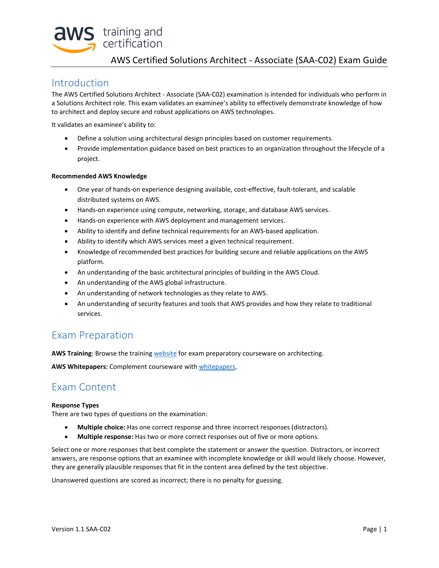

## AWS Certified Solutions Architect - Associate (SAA-C02) Exam Guide

## Introduction

The AWS Certified Solutions Architect - Associate (SAA-C02) examination is intended for individuals who perform in a Solutions Architect role. This exam validates an examinee's ability to effectively demonstrate knowledge of how to architect and deploy secure and robust applications on AWS technologies.

It validates an examinee's ability to:

- Define a solution using architectural design principles based on customer requirements.
- Provide implementation guidance based on best practices to an organization throughout the lifecycle of a project.

### **Recommended AWS Knowledge**

- One year of hands-on experience designing available, cost-effective, fault-tolerant, and scalable distributed systems on AWS.
- Hands-on experience using compute, networking, storage, and database AWS services.
- Hands-on experience with AWS deployment and management services.
- Ability to identify and define technical requirements for an AWS-based application.
- Ability to identify which AWS services meet a given technical requirement.
- Knowledge of recommended best practices for building secure and reliable applications on the AWS platform.
- An understanding of the basic architectural principles of building in the AWS Cloud.
- An understanding of the AWS global infrastructure.
- An understanding of network technologies as they relate to AWS.
- An understanding of security features and tools that AWS provides and how they relate to traditional services.

# Exam Preparation

**AWS Training**: Browse the training [website](http://aws.amazon.com/training) for exam preparatory courseware on architecting.

**AWS Whitepapers**: Complement courseware wit[h whitepapers](http://aws.amazon.com/whitepapers/).

# Exam Content

#### **Response Types**

There are two types of questions on the examination:

- **Multiple choice:** Has one correct response and three incorrect responses (distractors).
- **Multiple response:** Has two or more correct responses out of five or more options.

Select one or more responses that best complete the statement or answer the question. Distractors, or incorrect answers, are response options that an examinee with incomplete knowledge or skill would likely choose. However, they are generally plausible responses that fit in the content area defined by the test objective.

Unanswered questions are scored as incorrect; there is no penalty for guessing.